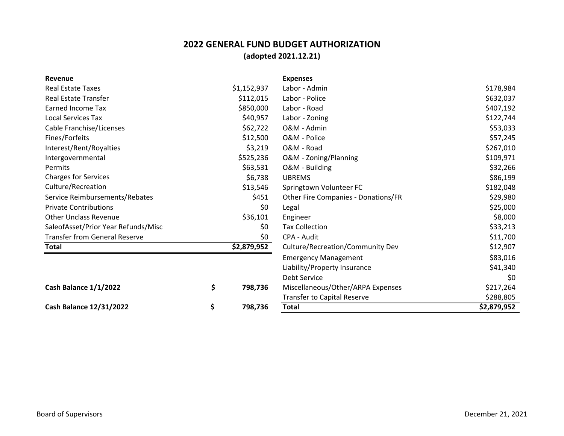## **2022 GENERAL FUND BUDGET AUTHORIZATION (adopted 2021.12.21)**

| Revenue                              |               | <b>Expenses</b>                     |             |
|--------------------------------------|---------------|-------------------------------------|-------------|
| <b>Real Estate Taxes</b>             | \$1,152,937   | Labor - Admin                       | \$178,984   |
| <b>Real Estate Transfer</b>          | \$112,015     | Labor - Police                      | \$632,037   |
| <b>Earned Income Tax</b>             | \$850,000     | Labor - Road                        | \$407,192   |
| <b>Local Services Tax</b>            | \$40,957      | Labor - Zoning                      | \$122,744   |
| Cable Franchise/Licenses             | \$62,722      | O&M - Admin                         | \$53,033    |
| Fines/Forfeits                       | \$12,500      | O&M - Police                        | \$57,245    |
| Interest/Rent/Royalties              | \$3,219       | O&M - Road                          | \$267,010   |
| Intergovernmental                    | \$525,236     | O&M - Zoning/Planning               | \$109,971   |
| Permits                              | \$63,531      | O&M - Building                      | \$32,266    |
| <b>Charges for Services</b>          | \$6,738       | <b>UBREMS</b>                       | \$86,199    |
| Culture/Recreation                   | \$13,546      | Springtown Volunteer FC             | \$182,048   |
| Service Reimbursements/Rebates       | \$451         | Other Fire Companies - Donations/FR | \$29,980    |
| <b>Private Contributions</b>         | \$0           | Legal                               | \$25,000    |
| <b>Other Unclass Revenue</b>         | \$36,101      | Engineer                            | \$8,000     |
| SaleofAsset/Prior Year Refunds/Misc  | \$0           | <b>Tax Collection</b>               | \$33,213    |
| <b>Transfer from General Reserve</b> | \$0           | CPA - Audit                         | \$11,700    |
| <b>Total</b>                         | \$2,879,952   | Culture/Recreation/Community Dev    | \$12,907    |
|                                      |               | <b>Emergency Management</b>         | \$83,016    |
|                                      |               | Liability/Property Insurance        | \$41,340    |
|                                      |               | <b>Debt Service</b>                 | \$0         |
| Cash Balance 1/1/2022                | \$<br>798,736 | Miscellaneous/Other/ARPA Expenses   | \$217,264   |
|                                      |               | <b>Transfer to Capital Reserve</b>  | \$288,805   |
| <b>Cash Balance 12/31/2022</b>       | \$<br>798,736 | <b>Total</b>                        | \$2,879,952 |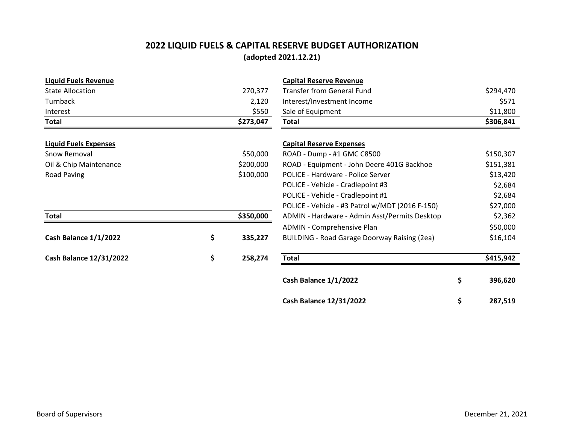#### **2022 LIQUID FUELS & CAPITAL RESERVE BUDGET AUTHORIZATION (adopted 2021.12.21)**

| <b>Liquid Fuels Revenue</b>    |               | <b>Capital Reserve Revenue</b>                      |               |
|--------------------------------|---------------|-----------------------------------------------------|---------------|
| <b>State Allocation</b>        | 270,377       | <b>Transfer from General Fund</b>                   | \$294,470     |
| Turnback                       | 2,120         | Interest/Investment Income                          | \$571         |
| Interest                       | \$550         | Sale of Equipment                                   | \$11,800      |
| <b>Total</b>                   | \$273,047     | <b>Total</b>                                        | \$306,841     |
| <b>Liquid Fuels Expenses</b>   |               | <b>Capital Reserve Expenses</b>                     |               |
| Snow Removal                   | \$50,000      | ROAD - Dump - #1 GMC C8500                          | \$150,307     |
| Oil & Chip Maintenance         | \$200,000     | ROAD - Equipment - John Deere 401G Backhoe          | \$151,381     |
| Road Paving                    | \$100,000     | POLICE - Hardware - Police Server                   | \$13,420      |
|                                |               | POLICE - Vehicle - Cradlepoint #3                   | \$2,684       |
|                                |               | POLICE - Vehicle - Cradlepoint #1                   | \$2,684       |
|                                |               | POLICE - Vehicle - #3 Patrol w/MDT (2016 F-150)     | \$27,000      |
| <b>Total</b>                   | \$350,000     | ADMIN - Hardware - Admin Asst/Permits Desktop       | \$2,362       |
|                                |               | ADMIN - Comprehensive Plan                          | \$50,000      |
| Cash Balance 1/1/2022          | \$<br>335,227 | <b>BUILDING - Road Garage Doorway Raising (2ea)</b> | \$16,104      |
| <b>Cash Balance 12/31/2022</b> | \$<br>258,274 | <b>Total</b>                                        | \$415,942     |
|                                |               | Cash Balance 1/1/2022                               | \$<br>396,620 |
|                                |               | <b>Cash Balance 12/31/2022</b>                      | \$<br>287,519 |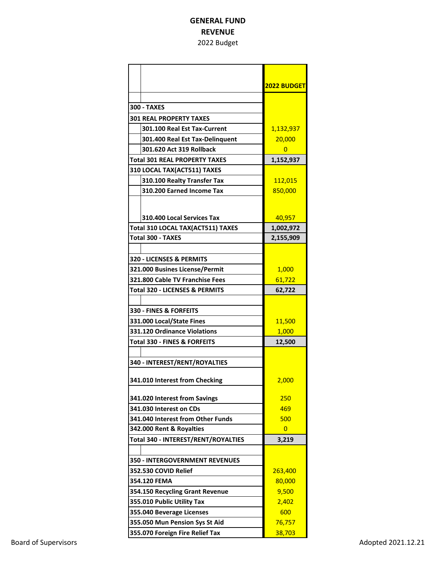#### **GENERAL FUND REVENUE** 2022 Budget

|                                      | 2022 BUDGET    |
|--------------------------------------|----------------|
| <b>300 - TAXES</b>                   |                |
| <b>301 REAL PROPERTY TAXES</b>       |                |
| 301.100 Real Est Tax-Current         | 1,132,937      |
| 301.400 Real Est Tax-Delinquent      | 20,000         |
| 301.620 Act 319 Rollback             | $\overline{0}$ |
| <b>Total 301 REAL PROPERTY TAXES</b> | 1,152,937      |
| 310 LOCAL TAX(ACT511) TAXES          |                |
| 310.100 Realty Transfer Tax          | 112,015        |
| 310.200 Earned Income Tax            | 850,000        |
|                                      |                |
|                                      |                |
| 310.400 Local Services Tax           | 40,957         |
| Total 310 LOCAL TAX(ACT511) TAXES    | 1,002,972      |
| <b>Total 300 - TAXES</b>             | 2,155,909      |
|                                      |                |
| 320 - LICENSES & PERMITS             |                |
| 321.000 Busines License/Permit       | 1,000          |
| 321.800 Cable TV Franchise Fees      | 61,722         |
| Total 320 - LICENSES & PERMITS       | 62,722         |
|                                      |                |
| <b>330 - FINES &amp; FORFEITS</b>    |                |
| 331.000 Local/State Fines            | 11,500         |
| 331.120 Ordinance Violations         | 1,000          |
| Total 330 - FINES & FORFEITS         | 12,500         |
|                                      |                |
| 340 - INTEREST/RENT/ROYALTIES        |                |
|                                      |                |
| 341.010 Interest from Checking       | 2.000          |
| 341.020 Interest from Savings        | 250            |
| 341.030 Interest on CDs              | 469            |
| 341.040 Interest from Other Funds    | 500            |
| 342.000 Rent & Royalties             | $\overline{0}$ |
| Total 340 - INTEREST/RENT/ROYALTIES  | 3,219          |
|                                      |                |
| 350 - INTERGOVERNMENT REVENUES       |                |
| 352.530 COVID Relief                 | 263,400        |
| 354.120 FEMA                         | 80,000         |
| 354.150 Recycling Grant Revenue      | 9,500          |
| 355.010 Public Utility Tax           | 2,402          |
| 355.040 Beverage Licenses            | 600            |
| 355.050 Mun Pension Sys St Aid       | 76,757         |
| 355.070 Foreign Fire Relief Tax      | 38,703         |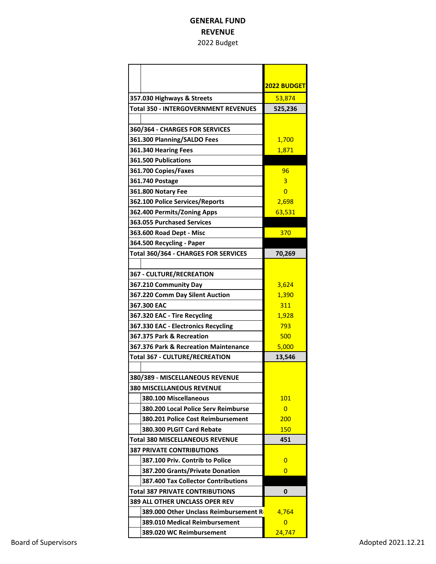#### **GENERAL FUND REVENUE** 2022 Budget

|                                             | 2022 BUDGET    |
|---------------------------------------------|----------------|
| 357.030 Highways & Streets                  | 53,874         |
| <b>Total 350 - INTERGOVERNMENT REVENUES</b> | 525,236        |
|                                             |                |
| 360/364 - CHARGES FOR SERVICES              |                |
| 361.300 Planning/SALDO Fees                 | 1,700          |
| 361.340 Hearing Fees                        | 1,871          |
| 361.500 Publications                        |                |
| 361.700 Copies/Faxes                        | 96             |
| 361.740 Postage                             | 3              |
| 361.800 Notary Fee                          | $\Omega$       |
| 362.100 Police Services/Reports             | 2,698          |
| 362.400 Permits/Zoning Apps                 | 63,531         |
| <b>363.055 Purchased Services</b>           |                |
| 363.600 Road Dept - Misc                    | 370            |
| 364.500 Recycling - Paper                   |                |
| Total 360/364 - CHARGES FOR SERVICES        | 70,269         |
|                                             |                |
| <b>367 - CULTURE/RECREATION</b>             |                |
| 367.210 Community Day                       | 3,624          |
| 367.220 Comm Day Silent Auction             | 1,390          |
| 367.300 EAC                                 | 311            |
| 367.320 EAC - Tire Recycling                | 1,928          |
| 367.330 EAC - Electronics Recycling         | 793            |
| 367.375 Park & Recreation                   | 500            |
| 367.376 Park & Recreation Maintenance       | 5,000          |
| <b>Total 367 - CULTURE/RECREATION</b>       | 13,546         |
|                                             |                |
| 380/389 - MISCELLANEOUS REVENUE             |                |
| <b>380 MISCELLANEOUS REVENUE</b>            |                |
| 380.100 Miscellaneous                       | 101            |
| 380.200 Local Police Serv Reimburse         | $\overline{0}$ |
| <b>380.201 Police Cost Reimbursement</b>    | 200            |
| 380.300 PLGIT Card Rebate                   | <b>150</b>     |
| Total 380 MISCELLANEOUS REVENUE             | 451            |
| <b>387 PRIVATE CONTRIBUTIONS</b>            |                |
| 387.100 Priv. Contrib to Police             | $\Omega$       |
| 387.200 Grants/Private Donation             | $\Omega$       |
| 387.400 Tax Collector Contributions         |                |
| Total 387 PRIVATE CONTRIBUTIONS             | 0              |
| 389 ALL OTHER UNCLASS OPER REV              |                |
| 389.000 Other Unclass Reimbursement R       | 4,764          |
| 389.010 Medical Reimbursement               | $\overline{0}$ |
| 389.020 WC Reimbursement                    | 24,747         |
|                                             |                |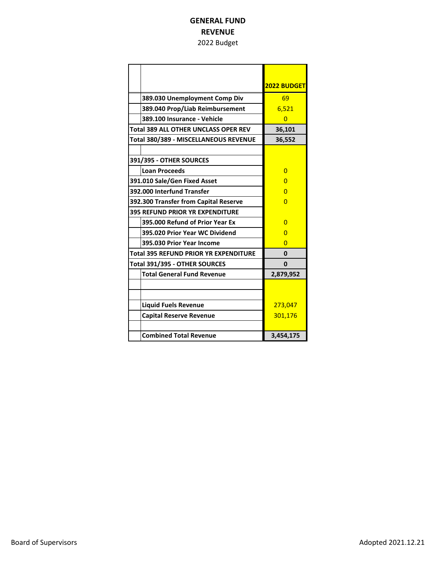#### **GENERAL FUND REVENUE** 2022 Budget

|                                              | <b>2022 BUDGET</b> |
|----------------------------------------------|--------------------|
| 389.030 Unemployment Comp Div                | 69                 |
| 389.040 Prop/Liab Reimbursement              | 6,521              |
| 389.100 Insurance - Vehicle                  | $\Omega$           |
| <b>Total 389 ALL OTHER UNCLASS OPER REV</b>  | 36,101             |
| Total 380/389 - MISCELLANEOUS REVENUE        | 36,552             |
|                                              |                    |
| 391/395 - OTHER SOURCES                      |                    |
| <b>Loan Proceeds</b>                         | O                  |
| 391.010 Sale/Gen Fixed Asset                 | n                  |
| 392.000 Interfund Transfer                   | O                  |
| 392.300 Transfer from Capital Reserve        | $\Omega$           |
| 395 REFUND PRIOR YR EXPENDITURE              |                    |
| 395,000 Refund of Prior Year Ex              | O                  |
| 395.020 Prior Year WC Dividend               | $\Omega$           |
| 395.030 Prior Year Income                    | $\Omega$           |
| <b>Total 395 REFUND PRIOR YR EXPENDITURE</b> | $\mathbf{0}$       |
| Total 391/395 - OTHER SOURCES                | 0                  |
| <b>Total General Fund Revenue</b>            | 2,879,952          |
|                                              |                    |
|                                              |                    |
| <b>Liquid Fuels Revenue</b>                  | 273,047            |
| <b>Capital Reserve Revenue</b>               | 301,176            |
|                                              |                    |
| <b>Combined Total Revenue</b>                | 3,454,175          |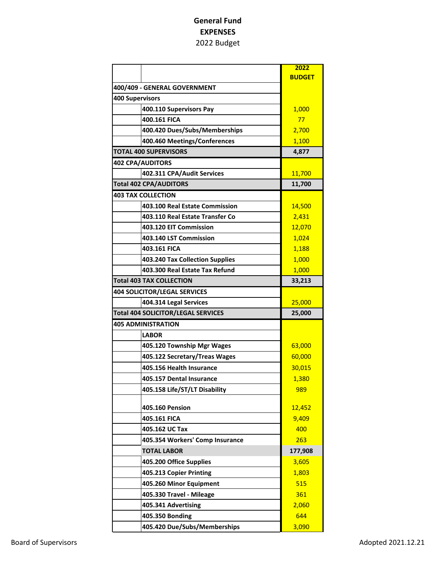|                                           | 2022          |
|-------------------------------------------|---------------|
|                                           | <b>BUDGET</b> |
| 400/409 - GENERAL GOVERNMENT              |               |
| <b>400 Supervisors</b>                    |               |
| 400.110 Supervisors Pay                   | 1,000         |
| 400.161 FICA                              | 77            |
| 400.420 Dues/Subs/Memberships             | 2,700         |
| 400.460 Meetings/Conferences              | 1,100         |
| <b>TOTAL 400 SUPERVISORS</b>              | 4,877         |
| <b>402 CPA/AUDITORS</b>                   |               |
| 402.311 CPA/Audit Services                | 11,700        |
| <b>Total 402 CPA/AUDITORS</b>             | 11,700        |
| <b>403 TAX COLLECTION</b>                 |               |
| 403.100 Real Estate Commission            | 14,500        |
| 403.110 Real Estate Transfer Co           | 2,431         |
| 403.120 EIT Commission                    | 12,070        |
| 403.140 LST Commission                    | 1,024         |
| 403.161 FICA                              | 1,188         |
| 403.240 Tax Collection Supplies           | 1,000         |
| 403.300 Real Estate Tax Refund            | 1,000         |
| <b>Total 403 TAX COLLECTION</b>           | 33,213        |
| <b>404 SOLICITOR/LEGAL SERVICES</b>       |               |
| 404.314 Legal Services                    | 25,000        |
| <b>Total 404 SOLICITOR/LEGAL SERVICES</b> | 25,000        |
| <b>405 ADMINISTRATION</b>                 |               |
| <b>LABOR</b>                              |               |
| 405.120 Township Mgr Wages                | 63,000        |
| 405.122 Secretary/Treas Wages             | 60,000        |
| 405.156 Health Insurance                  | 30,015        |
| 405.157 Dental Insurance                  | 1,380         |
| 405.158 Life/ST/LT Disability             | 989           |
|                                           |               |
| 405.160 Pension                           | 12,452        |
| 405.161 FICA                              | 9,409         |
| 405.162 UC Tax                            | 400           |
| 405.354 Workers' Comp Insurance           | 263           |
| <b>TOTAL LABOR</b>                        | 177,908       |
| 405.200 Office Supplies                   | 3,605         |
| 405.213 Copier Printing                   | 1,803         |
| 405.260 Minor Equipment                   | 515           |
| 405.330 Travel - Mileage                  | 361           |
| 405.341 Advertising                       | 2,060         |
| 405.350 Bonding                           | 644           |
| 405.420 Due/Subs/Memberships              | 3,090         |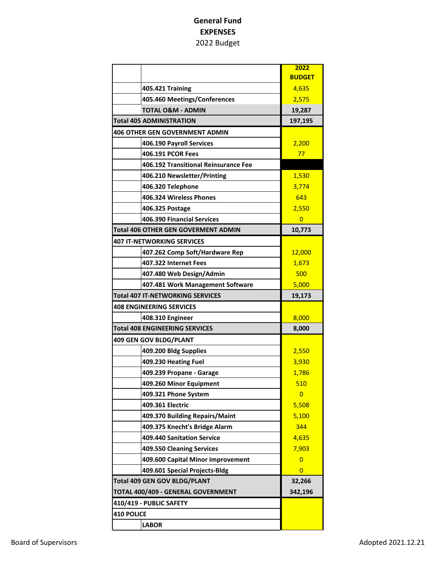|                                            | 2022           |
|--------------------------------------------|----------------|
|                                            | <b>BUDGET</b>  |
| <b>405.421 Training</b>                    | 4,635          |
| 405.460 Meetings/Conferences               | 2,575          |
| <b>TOTAL O&amp;M - ADMIN</b>               | 19,287         |
| <b>Total 405 ADMINISTRATION</b>            | 197,195        |
| <b>406 OTHER GEN GOVERNMENT ADMIN</b>      |                |
| 406.190 Payroll Services                   | 2,200          |
| 406.191 PCOR Fees                          | 77             |
| 406.192 Transitional Reinsurance Fee       |                |
| 406.210 Newsletter/Printing                | 1,530          |
| 406.320 Telephone                          | 3,774          |
| 406.324 Wireless Phones                    | 643            |
| 406.325 Postage                            | 2,550          |
| 406.390 Financial Services                 | $\overline{0}$ |
| <b>Total 406 OTHER GEN GOVERMENT ADMIN</b> | 10,773         |
| <b>407 IT-NETWORKING SERVICES</b>          |                |
| 407.262 Comp Soft/Hardware Rep             | 12,000         |
| 407.322 Internet Fees                      | 1,673          |
| 407.480 Web Design/Admin                   | 500            |
| 407.481 Work Management Software           | 5,000          |
| Total 407 IT-NETWORKING SERVICES           | 19,173         |
| <b>408 ENGINEERING SERVICES</b>            |                |
| 408.310 Engineer                           | 8,000          |
| <b>Total 408 ENGINEERING SERVICES</b>      | 8,000          |
| 409 GEN GOV BLDG/PLANT                     |                |
| 409.200 Bldg Supplies                      | 2,550          |
| 409.230 Heating Fuel                       | 3,930          |
| 409.239 Propane - Garage                   | 1,786          |
| 409.260 Minor Equipment                    | 510            |
| 409.321 Phone System                       | 0              |
| 409.361 Electric                           | 5,508          |
| 409.370 Building Repairs/Maint             | 5,100          |
| 409.375 Knecht's Bridge Alarm              | 344            |
| 409.440 Sanitation Service                 | 4,635          |
| 409.550 Cleaning Services                  | 7,903          |
| 409.600 Capital Minor Improvement          | $\overline{0}$ |
| 409.601 Special Projects-Bldg              | 0              |
| <b>Total 409 GEN GOV BLDG/PLANT</b>        | 32,266         |
| TOTAL 400/409 - GENERAL GOVERNMENT         | 342,196        |
| 410/419 - PUBLIC SAFETY                    |                |
| <b>410 POLICE</b>                          |                |
| <b>LABOR</b>                               |                |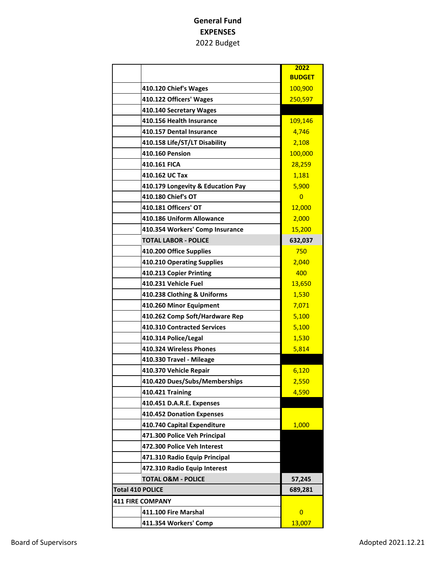|                                   | 2022           |
|-----------------------------------|----------------|
|                                   | <b>BUDGET</b>  |
| 410.120 Chief's Wages             | 100,900        |
| 410.122 Officers' Wages           | 250,597        |
| 410.140 Secretary Wages           |                |
| 410.156 Health Insurance          | 109,146        |
| 410.157 Dental Insurance          | 4,746          |
| 410.158 Life/ST/LT Disability     | 2,108          |
| <b>410.160 Pension</b>            | 100,000        |
| 410.161 FICA                      | 28,259         |
| 410.162 UC Tax                    | 1,181          |
| 410.179 Longevity & Education Pay | 5,900          |
| 410.180 Chief's OT                | $\overline{0}$ |
| 410.181 Officers' OT              | 12,000         |
| 410.186 Uniform Allowance         | 2,000          |
| 410.354 Workers' Comp Insurance   | 15,200         |
| <b>TOTAL LABOR - POLICE</b>       | 632,037        |
| 410.200 Office Supplies           | 750            |
| 410.210 Operating Supplies        | 2,040          |
| 410.213 Copier Printing           | 400            |
| 410.231 Vehicle Fuel              | 13,650         |
| 410.238 Clothing & Uniforms       | 1,530          |
| 410.260 Minor Equipment           | 7,071          |
| 410.262 Comp Soft/Hardware Rep    | 5,100          |
| 410.310 Contracted Services       | 5,100          |
| 410.314 Police/Legal              | 1,530          |
| 410.324 Wireless Phones           | 5,814          |
| 410.330 Travel - Mileage          |                |
| 410.370 Vehicle Repair            | 6,120          |
| 410.420 Dues/Subs/Memberships     | 2,550          |
| 410.421 Training                  | 4,590          |
| 410.451 D.A.R.E. Expenses         |                |
| 410.452 Donation Expenses         |                |
| 410.740 Capital Expenditure       | 1,000          |
| 471.300 Police Veh Principal      |                |
| 472.300 Police Veh Interest       |                |
| 471.310 Radio Equip Principal     |                |
| 472.310 Radio Equip Interest      |                |
| <b>TOTAL O&amp;M - POLICE</b>     | 57,245         |
| <b>Total 410 POLICE</b>           | 689,281        |
| <b>411 FIRE COMPANY</b>           |                |
| 411.100 Fire Marshal              | $\overline{0}$ |
| 411.354 Workers' Comp             | 13,007         |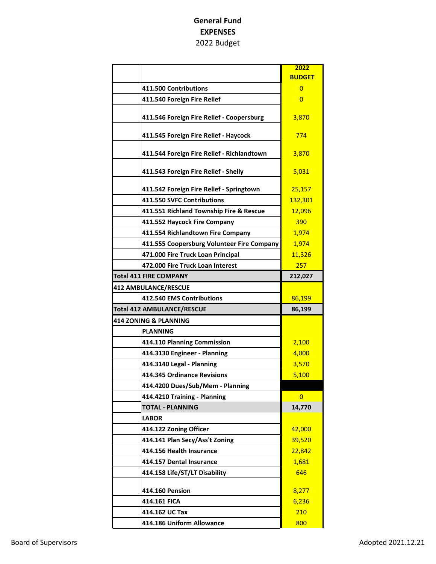|                                            | 2022          |
|--------------------------------------------|---------------|
|                                            | <b>BUDGET</b> |
| 411.500 Contributions                      | $\mathbf{0}$  |
| 411.540 Foreign Fire Relief                | $\mathbf{0}$  |
|                                            |               |
| 411.546 Foreign Fire Relief - Coopersburg  | 3,870         |
| 411.545 Foreign Fire Relief - Haycock      | 774           |
|                                            |               |
| 411.544 Foreign Fire Relief - Richlandtown | 3,870         |
| 411.543 Foreign Fire Relief - Shelly       | 5,031         |
|                                            |               |
| 411.542 Foreign Fire Relief - Springtown   | 25,157        |
| 411.550 SVFC Contributions                 | 132,301       |
| 411.551 Richland Township Fire & Rescue    | 12,096        |
| 411.552 Haycock Fire Company               | 390           |
| 411.554 Richlandtown Fire Company          | 1,974         |
| 411.555 Coopersburg Volunteer Fire Company | 1,974         |
| 471.000 Fire Truck Loan Principal          | 11,326        |
| 472.000 Fire Truck Loan Interest           | 257           |
| <b>Total 411 FIRE COMPANY</b>              | 212,027       |
| <b>412 AMBULANCE/RESCUE</b>                |               |
| 412.540 EMS Contributions                  | 86,199        |
| <b>Total 412 AMBULANCE/RESCUE</b>          | 86,199        |
| 414 ZONING & PLANNING                      |               |
| <b>PLANNING</b>                            |               |
| 414.110 Planning Commission                | 2,100         |
| 414.3130 Engineer - Planning               | 4,000         |
| 414.3140 Legal - Planning                  | 3,570         |
| 414.345 Ordinance Revisions                | 5,100         |
| 414.4200 Dues/Sub/Mem - Planning           |               |
| 414.4210 Training - Planning               | 0             |
| <b>TOTAL - PLANNING</b>                    | 14,770        |
| <b>LABOR</b>                               |               |
| 414.122 Zoning Officer                     | 42,000        |
| 414.141 Plan Secy/Ass't Zoning             | 39,520        |
| 414.156 Health Insurance                   | 22,842        |
| 414.157 Dental Insurance                   | 1,681         |
| 414.158 Life/ST/LT Disability              | 646           |
| 414.160 Pension                            | 8,277         |
| 414.161 FICA                               | 6,236         |
| 414.162 UC Tax                             | 210           |
| 414.186 Uniform Allowance                  | 800           |
|                                            |               |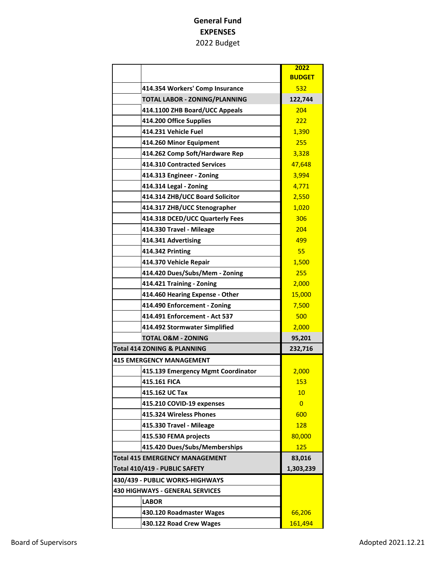|                                        | 2022           |
|----------------------------------------|----------------|
|                                        | <b>BUDGET</b>  |
| 414.354 Workers' Comp Insurance        | 532            |
| TOTAL LABOR - ZONING/PLANNING          | 122,744        |
| 414.1100 ZHB Board/UCC Appeals         | 204            |
| 414.200 Office Supplies                | 222            |
| 414.231 Vehicle Fuel                   | 1,390          |
| 414.260 Minor Equipment                | 255            |
| 414.262 Comp Soft/Hardware Rep         | 3,328          |
| 414.310 Contracted Services            | 47,648         |
| 414.313 Engineer - Zoning              | 3,994          |
| 414.314 Legal - Zoning                 | 4,771          |
| 414.314 ZHB/UCC Board Solicitor        | 2,550          |
| 414.317 ZHB/UCC Stenographer           | 1,020          |
| 414.318 DCED/UCC Quarterly Fees        | 306            |
| 414.330 Travel - Mileage               | 204            |
| 414.341 Advertising                    | 499            |
| 414.342 Printing                       | 55             |
| 414.370 Vehicle Repair                 | 1,500          |
| 414.420 Dues/Subs/Mem - Zoning         | 255            |
| 414.421 Training - Zoning              | 2,000          |
| 414.460 Hearing Expense - Other        | 15,000         |
| 414.490 Enforcement - Zoning           | 7,500          |
| 414.491 Enforcement - Act 537          | 500            |
| 414.492 Stormwater Simplified          | 2,000          |
| <b>TOTAL O&amp;M - ZONING</b>          | 95,201         |
| Total 414 ZONING & PLANNING            | 232,716        |
| <b>415 EMERGENCY MANAGEMENT</b>        |                |
| 415.139 Emergency Mgmt Coordinator     | 2,000          |
| 415.161 FICA                           | 153            |
| 415.162 UC Tax                         | 10             |
| 415.210 COVID-19 expenses              | $\overline{0}$ |
| 415.324 Wireless Phones                | 600            |
| 415.330 Travel - Mileage               | <b>128</b>     |
| 415.530 FEMA projects                  | 80,000         |
| 415.420 Dues/Subs/Memberships          | 125            |
| <b>Total 415 EMERGENCY MANAGEMENT</b>  | 83,016         |
| Total 410/419 - PUBLIC SAFETY          | 1,303,239      |
| 430/439 - PUBLIC WORKS-HIGHWAYS        |                |
| <b>430 HIGHWAYS - GENERAL SERVICES</b> |                |
| <b>LABOR</b>                           |                |
| 430.120 Roadmaster Wages               | 66,206         |
| 430.122 Road Crew Wages                | 161,494        |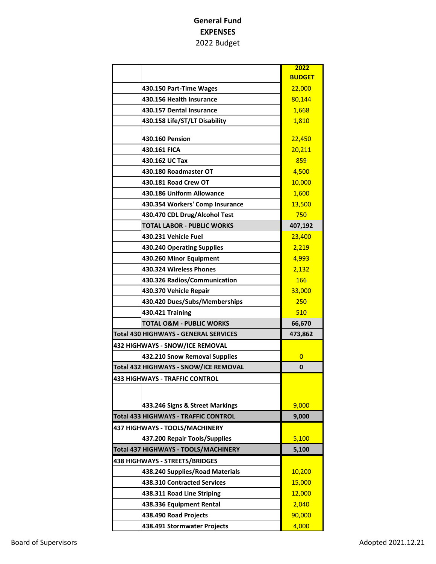|                                              | 2022          |
|----------------------------------------------|---------------|
|                                              | <b>BUDGET</b> |
| 430.150 Part-Time Wages                      | 22,000        |
| 430.156 Health Insurance                     | 80,144        |
| 430.157 Dental Insurance                     | 1,668         |
| 430.158 Life/ST/LT Disability                | 1,810         |
| 430.160 Pension                              | 22,450        |
| 430.161 FICA                                 | 20,211        |
| 430.162 UC Tax                               | 859           |
| 430.180 Roadmaster OT                        | 4,500         |
| 430.181 Road Crew OT                         | 10,000        |
| 430.186 Uniform Allowance                    | 1,600         |
| 430.354 Workers' Comp Insurance              | 13,500        |
| 430.470 CDL Drug/Alcohol Test                | 750           |
| <b>TOTAL LABOR - PUBLIC WORKS</b>            | 407,192       |
| 430.231 Vehicle Fuel                         | 23,400        |
| 430.240 Operating Supplies                   | 2,219         |
| 430.260 Minor Equipment                      | 4,993         |
| 430.324 Wireless Phones                      | 2,132         |
| 430.326 Radios/Communication                 | 166           |
| 430.370 Vehicle Repair                       | 33,000        |
| 430.420 Dues/Subs/Memberships                | 250           |
| 430.421 Training                             | 510           |
| <b>TOTAL O&amp;M - PUBLIC WORKS</b>          | 66,670        |
| <b>Total 430 HIGHWAYS - GENERAL SERVICES</b> | 473,862       |
| 432 HIGHWAYS - SNOW/ICE REMOVAL              |               |
| 432.210 Snow Removal Supplies                | 0             |
| Total 432 HIGHWAYS - SNOW/ICE REMOVAL        | 0             |
| <b>433 HIGHWAYS - TRAFFIC CONTROL</b>        |               |
|                                              |               |
| 433.246 Signs & Street Markings              | 9,000         |
| Total 433 HIGHWAYS - TRAFFIC CONTROL         | 9,000         |
| 437 HIGHWAYS - TOOLS/MACHINERY               |               |
| 437.200 Repair Tools/Supplies                | 5,100         |
| Total 437 HIGHWAYS - TOOLS/MACHINERY         | 5,100         |
| <b>438 HIGHWAYS - STREETS/BRIDGES</b>        |               |
| 438.240 Supplies/Road Materials              | 10,200        |
| 438.310 Contracted Services                  | 15,000        |
| 438.311 Road Line Striping                   | 12,000        |
| 438.336 Equipment Rental                     | 2,040         |
| 438.490 Road Projects                        | 90,000        |
| 438.491 Stormwater Projects                  | 4,000         |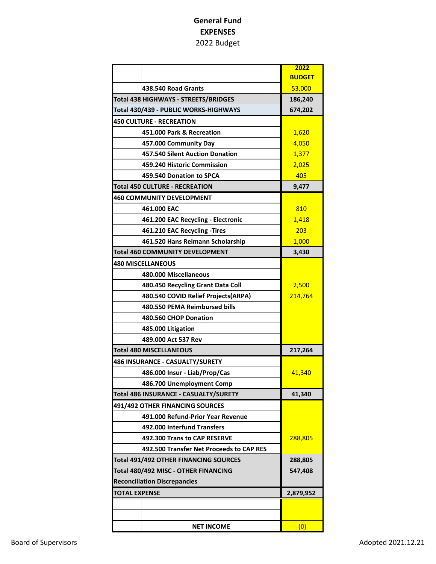|                                              |                                          | 2022          |
|----------------------------------------------|------------------------------------------|---------------|
|                                              |                                          | <b>BUDGET</b> |
|                                              | 438.540 Road Grants                      | 53,000        |
| <b>Total 438 HIGHWAYS - STREETS/BRIDGES</b>  |                                          | 186,240       |
|                                              | Total 430/439 - PUBLIC WORKS-HIGHWAYS    | 674,202       |
| <b>450 CULTURE - RECREATION</b>              |                                          |               |
|                                              | 451.000 Park & Recreation                | 1,620         |
|                                              | 457.000 Community Day                    | 4,050         |
|                                              | 457.540 Silent Auction Donation          | 1,377         |
|                                              | 459.240 Historic Commission              | 2,025         |
|                                              | 459.540 Donation to SPCA                 | 405           |
|                                              | <b>Total 450 CULTURE - RECREATION</b>    | 9,477         |
|                                              | <b>460 COMMUNITY DEVELOPMENT</b>         |               |
|                                              | 461.000 EAC                              | 810           |
|                                              | 461.200 EAC Recycling - Electronic       | 1,418         |
|                                              | 461.210 EAC Recycling -Tires             | 203           |
|                                              | 461.520 Hans Reimann Scholarship         | 1,000         |
|                                              | <b>Total 460 COMMUNITY DEVELOPMENT</b>   | 3,430         |
|                                              | <b>480 MISCELLANEOUS</b>                 |               |
|                                              | 480.000 Miscellaneous                    |               |
|                                              | 480.450 Recycling Grant Data Coll        | 2,500         |
|                                              | 480.540 COVID Relief Projects(ARPA)      | 214,764       |
|                                              | 480.550 PEMA Reimbursed bills            |               |
|                                              | 480.560 CHOP Donation                    |               |
|                                              | 485.000 Litigation                       |               |
|                                              | 489.000 Act 537 Rev                      |               |
|                                              | <b>Total 480 MISCELLANEOUS</b>           | 217,264       |
|                                              | 486 INSURANCE - CASUALTY/SURETY          |               |
| 486.000 Insur - Liab/Prop/Cas                |                                          | 41,340        |
|                                              | 486.700 Unemployment Comp                |               |
|                                              | Total 486 INSURANCE - CASUALTY/SURETY    | 41,340        |
|                                              | 491/492 OTHER FINANCING SOURCES          |               |
|                                              | 491.000 Refund-Prior Year Revenue        |               |
|                                              | 492.000 Interfund Transfers              |               |
|                                              | 492.300 Trans to CAP RESERVE             | 288,805       |
|                                              | 492.500 Transfer Net Proceeds to CAP RES |               |
| <b>Total 491/492 OTHER FINANCING SOURCES</b> |                                          | 288,805       |
| Total 480/492 MISC - OTHER FINANCING         |                                          | 547,408       |
|                                              | <b>Reconciliation Discrepancies</b>      |               |
| <b>TOTAL EXPENSE</b>                         |                                          | 2,879,952     |
|                                              |                                          |               |
|                                              |                                          |               |
|                                              | <b>NET INCOME</b>                        | (0)           |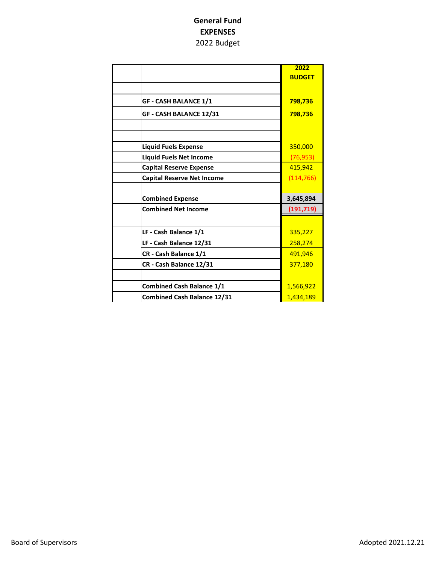| 2022          |
|---------------|
| <b>BUDGET</b> |
|               |
| 798,736       |
| 798,736       |
|               |
|               |
| 350,000       |
| (76, 953)     |
| 415,942       |
| (114, 766)    |
|               |
| 3,645,894     |
| (191, 719)    |
|               |
| 335,227       |
| 258,274       |
| 491,946       |
| 377,180       |
|               |
|               |
| 1,566,922     |
|               |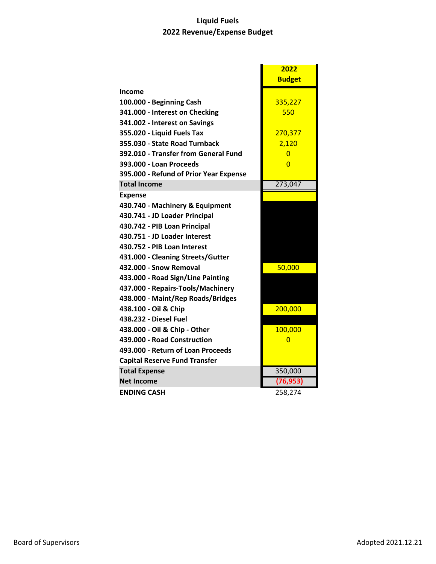# **Liquid Fuels 2022 Revenue/Expense Budget**

|                                        | 2022           |
|----------------------------------------|----------------|
|                                        | <b>Budget</b>  |
| Income                                 |                |
| 100.000 - Beginning Cash               | 335,227        |
| 341.000 - Interest on Checking         | 550            |
| 341.002 - Interest on Savings          |                |
| 355.020 - Liquid Fuels Tax             | 270,377        |
| 355.030 - State Road Turnback          | 2,120          |
| 392.010 - Transfer from General Fund   | $\Omega$       |
| 393.000 - Loan Proceeds                | $\Omega$       |
| 395.000 - Refund of Prior Year Expense |                |
| <b>Total Income</b>                    | 273,047        |
| <b>Expense</b>                         |                |
| 430.740 - Machinery & Equipment        |                |
| 430.741 - JD Loader Principal          |                |
| 430.742 - PIB Loan Principal           |                |
| 430.751 - JD Loader Interest           |                |
| 430.752 - PIB Loan Interest            |                |
| 431.000 - Cleaning Streets/Gutter      |                |
| 432.000 - Snow Removal                 | 50,000         |
| 433.000 - Road Sign/Line Painting      |                |
| 437.000 - Repairs-Tools/Machinery      |                |
| 438.000 - Maint/Rep Roads/Bridges      |                |
| 438.100 - Oil & Chip                   | 200,000        |
| 438.232 - Diesel Fuel                  |                |
| 438.000 - Oil & Chip - Other           | 100,000        |
| 439.000 - Road Construction            | $\overline{0}$ |
| 493.000 - Return of Loan Proceeds      |                |
| <b>Capital Reserve Fund Transfer</b>   |                |
| <b>Total Expense</b>                   | 350,000        |
| <b>Net Income</b>                      | (76, 953)      |
| <b>ENDING CASH</b>                     | 258,274        |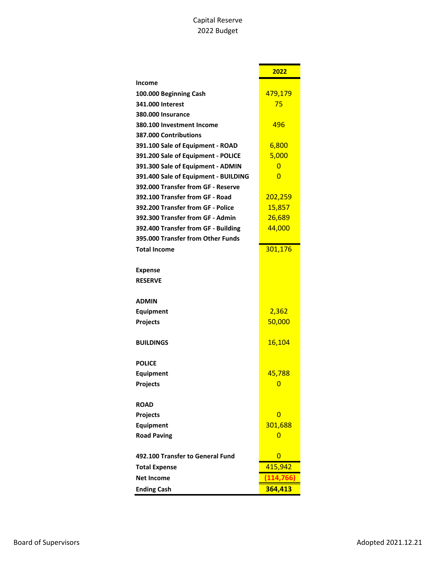#### Capital Reserve 2022 Budget

|                                      | 2022       |
|--------------------------------------|------------|
| <b>Income</b>                        |            |
| 100.000 Beginning Cash               | 479,179    |
| 341.000 Interest                     | 75         |
| 380.000 Insurance                    |            |
| 380.100 Investment Income            | 496        |
| 387.000 Contributions                |            |
| 391.100 Sale of Equipment - ROAD     | 6,800      |
| 391.200 Sale of Equipment - POLICE   | 5,000      |
| 391.300 Sale of Equipment - ADMIN    | 0          |
| 391.400 Sale of Equipment - BUILDING | 0          |
| 392.000 Transfer from GF - Reserve   |            |
| 392.100 Transfer from GF - Road      | 202,259    |
| 392.200 Transfer from GF - Police    | 15,857     |
| 392.300 Transfer from GF - Admin     | 26,689     |
| 392.400 Transfer from GF - Building  | 44,000     |
| 395.000 Transfer from Other Funds    |            |
| <b>Total Income</b>                  | 301,176    |
|                                      |            |
| <b>Expense</b>                       |            |
| <b>RESERVE</b>                       |            |
|                                      |            |
| <b>ADMIN</b>                         |            |
| Equipment                            | 2,362      |
| Projects                             | 50,000     |
| <b>BUILDINGS</b>                     | 16,104     |
|                                      |            |
| <b>POLICE</b>                        |            |
| <b>Equipment</b>                     | 45,788     |
| Projects                             |            |
| <b>ROAD</b>                          |            |
| Projects                             | 0          |
| <b>Equipment</b>                     | 301,688    |
| <b>Road Paving</b>                   | 0          |
|                                      |            |
| 492.100 Transfer to General Fund     | 0          |
| <b>Total Expense</b>                 | 415,942    |
| <b>Net Income</b>                    | (114, 766) |
| <b>Ending Cash</b>                   | 364,413    |